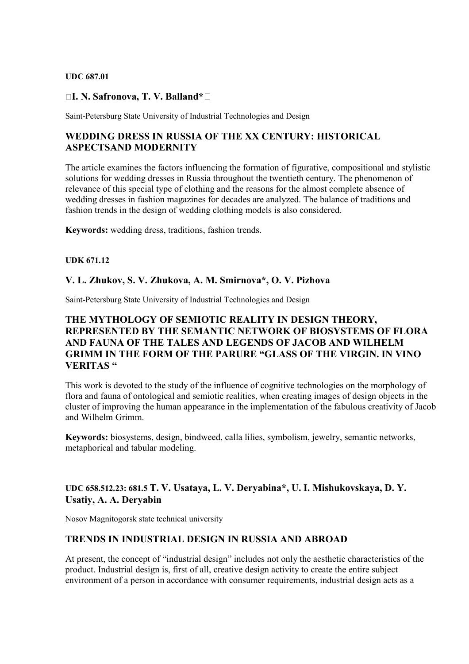#### **UDC 687.01**

### **I. N. Safronova, T. V. Balland\***

Saint-Petersburg State University of Industrial Technologies and Design

### **WEDDING DRESS IN RUSSIA OF THE XX CENTURY: HISTORICAL ASPECTSAND MODERNITY**

The article examines the factors influencing the formation of figurative, compositional and stylistic solutions for wedding dresses in Russia throughout the twentieth century. The phenomenon of relevance of this special type of clothing and the reasons for the almost complete absence of wedding dresses in fashion magazines for decades are analyzed. The balance of traditions and fashion trends in the design of wedding clothing models is also considered.

**Keywords:** wedding dress, traditions, fashion trends.

#### **UDK 671.12**

### **V. L. Zhukov, S. V. Zhukova, A. M. Smirnova\*, O. V. Pizhova**

Saint-Petersburg State University of Industrial Technologies and Design

# **THE MYTHOLOGY OF SEMIOTIC REALITY IN DESIGN THEORY, REPRESENTED BY THE SEMANTIC NETWORK OF BIOSYSTEMS OF FLORA AND FAUNA OF THE TALES AND LEGENDS OF JACOB AND WILHELM GRIMM IN THE FORM OF THE PARURE "GLASS OF THE VIRGIN. IN VINO VERITAS "**

This work is devoted to the study of the influence of cognitive technologies on the morphology of flora and fauna of ontological and semiotic realities, when creating images of design objects in the cluster of improving the human appearance in the implementation of the fabulous creativity of Jacob and Wilhelm Grimm.

**Keywords:** biosystems, design, bindweed, calla lilies, symbolism, jewelry, semantic networks, metaphorical and tabular modeling.

### **UDC 658.512.23: 681.5 T. V. Usataya, L. V. Deryabina\*, U. I. Mishukovskaya, D. Y. Usatiy, A. A. Deryabin**

Nosov Magnitogorsk state technical university

### **TRENDS IN INDUSTRIAL DESIGN IN RUSSIA AND ABROAD**

Аt present, the concept of "industrial design" includes not only the aesthetic characteristics of the product. Industrial design is, first of all, creative design activity to create the entire subject environment of a person in accordance with consumer requirements, industrial design acts as a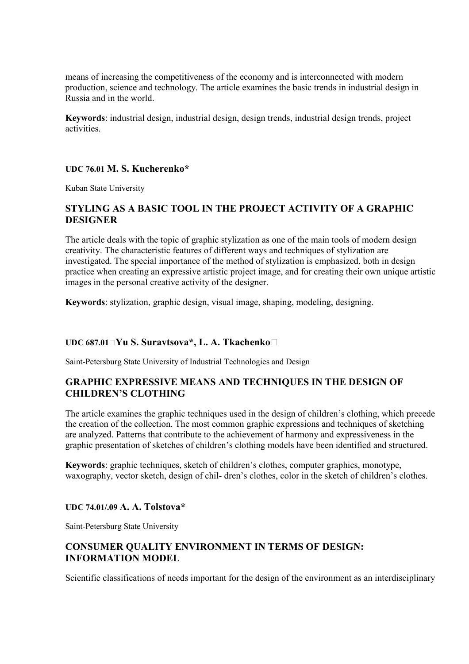means of increasing the competitiveness of the economy and is interconnected with modern production, science and technology. The article examines the basic trends in industrial design in Russia and in the world.

**Keywords**: industrial design, industrial design, design trends, industrial design trends, project activities.

# **UDC 76.01 M. S. Kucherenko\***

Kuban State University

# **STYLING AS A BASIC TOOL IN THE PROJECT ACTIVITY OF A GRAPHIC DESIGNER**

The article deals with the topic of graphic stylization as one of the main tools of modern design creativity. The characteristic features of different ways and techniques of stylization are investigated. The special importance of the method of stylization is emphasized, both in design practice when creating an expressive artistic project image, and for creating their own unique artistic images in the personal creative activity of the designer.

**Keywords**: stylization, graphic design, visual image, shaping, modeling, designing.

### **UDC 687.01 Yu S. Suravtsova\*, L. A. Tkachenko**

Saint-Petersburg State University of Industrial Technologies and Design

### **GRAPHIC EXPRESSIVE MEANS AND TECHNIQUES IN THE DESIGN OF CHILDREN'S CLOTHING**

The article examines the graphic techniques used in the design of children's clothing, which precede the creation of the collection. The most common graphic expressions and techniques of sketching are analyzed. Patterns that contribute to the achievement of harmony and expressiveness in the graphic presentation of sketches of children's clothing models have been identified and structured.

**Keywords**: graphic techniques, sketch of children's clothes, computer graphics, monotype, waxography, vector sketch, design of chil- dren's clothes, color in the sketch of children's clothes.

### **UDC 74.01/.09 A. A. Tolstova\***

Saint-Petersburg State University

### **CONSUMER QUALITY ENVIRONMENT IN TERMS OF DESIGN: INFORMATION MODEL**

Scientific classifications of needs important for the design of the environment as an interdisciplinary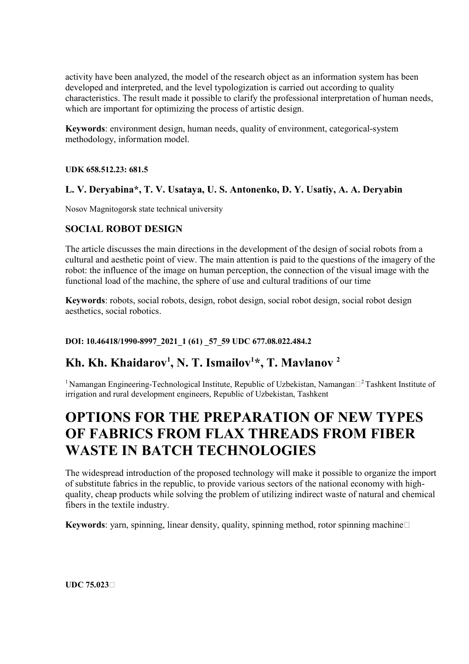activity have been analyzed, the model of the research object as an information system has been developed and interpreted, and the level typologization is carried out according to quality characteristics. The result made it possible to clarify the professional interpretation of human needs, which are important for optimizing the process of artistic design.

**Keywords**: environment design, human needs, quality of environment, categorical-system methodology, information model.

**UDK 658.512.23: 681.5** 

# **L. V. Deryabina\*, T. V. Usataya, U. S. Antonenko, D. Y. Usatiy, A. A. Deryabin**

Nosov Magnitogorsk state technical university

# **SOCIAL ROBOT DESIGN**

The article discusses the main directions in the development of the design of social robots from a cultural and aesthetic point of view. The main attention is paid to the questions of the imagery of the robot: the influence of the image on human perception, the connection of the visual image with the functional load of the machine, the sphere of use and cultural traditions of our time

**Keywords**: robots, social robots, design, robot design, social robot design, social robot design aesthetics, social robotics.

### **DOI: 10.46418/1990-8997\_2021\_1 (61) \_57\_59 UDC 677.08.022.484.2**

# **Kh. Kh. Khaidarov<sup>1</sup> , N. T. Ismailov<sup>1</sup> \*, T. Mavlanov <sup>2</sup>**

<sup>1</sup> Namangan Engineering-Technological Institute, Republic of Uzbekistan, Namangan $\Box^2$ Tashkent Institute of irrigation and rural development engineers, Republic of Uzbekistan, Tashkent

# **OPTIONS FOR THE PREPARATION OF NEW TYPES OF FABRICS FROM FLAX THREADS FROM FIBER WASTE IN BATCH TECHNOLOGIES**

The widespread introduction of the proposed technology will make it possible to organize the import of substitute fabrics in the republic, to provide various sectors of the national economy with highquality, cheap products while solving the problem of utilizing indirect waste of natural and chemical fibers in the textile industry.

**Keywords**: yarn, spinning, linear density, quality, spinning method, rotor spinning machine  $\Box$ 

**UDC 75.023**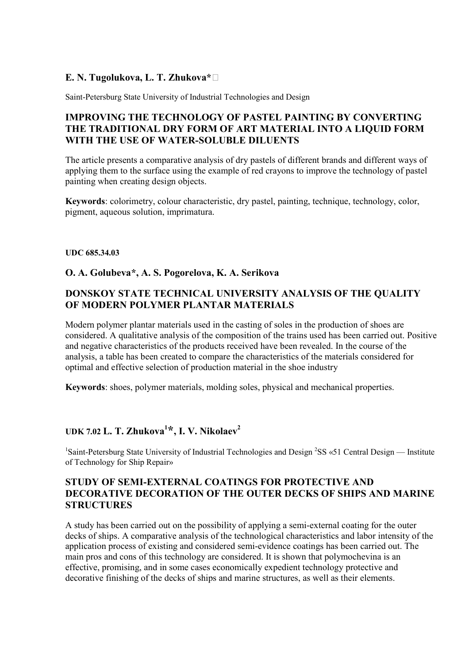# **E. N. Tugolukova, L. T. Zhukova\***

Saint-Petersburg State University of Industrial Technologies and Design

# **IMPROVING THE TECHNOLOGY OF PASTEL PAINTING BY CONVERTING THE TRADITIONAL DRY FORM OF ART MATERIAL INTO A LIQUID FORM WITH THE USE OF WATER-SOLUBLE DILUENTS**

The article presents a comparative analysis of dry pastels of different brands and different ways of applying them to the surface using the example of red crayons to improve the technology of pastel painting when creating design objects.

**Keywords**: colorimetry, сolour characteristic, dry pastel, painting, technique, technology, color, pigment, aqueous solution, imprimatura.

### **UDC 685.34.03**

### **O. A. Golubeva\*, A. S. Pogorelova, K. A. Serikova**

# **DONSKOY STATE TECHNICAL UNIVERSITY ANALYSIS OF THE QUALITY OF MODERN POLYMER PLANTAR MATERIALS**

Modern polymer plantar materials used in the casting of soles in the production of shoes are considered. A qualitative analysis of the composition of the trains used has been carried out. Positive and negative characteristics of the products received have been revealed. In the course of the analysis, a table has been created to compare the characteristics of the materials considered for optimal and effective selection of production material in the shoe industry

**Keywords**: shoes, polymer materials, molding soles, physical and mechanical properties.

# **UDK 7.02 L. T. Zhukova<sup>1</sup> \*, I. V. Nikolaev<sup>2</sup>**

<sup>1</sup>Saint-Petersburg State University of Industrial Technologies and Design <sup>2</sup>SS «51 Central Design — Institute of Technology for Ship Repair»

# **STUDY OF SEMI-EXTERNAL COATINGS FOR PROTECTIVE AND DECORATIVE DECORATION OF THE OUTER DECKS OF SHIPS AND MARINE STRUCTURES**

A study has been carried out on the possibility of applying a semi-external coating for the outer decks of ships. A comparative analysis of the technological characteristics and labor intensity of the application process of existing and considered semi-evidence coatings has been carried out. The main pros and cons of this technology are considered. It is shown that polymochevina is an effective, promising, and in some cases economically expedient technology protective and decorative finishing of the decks of ships and marine structures, as well as their elements.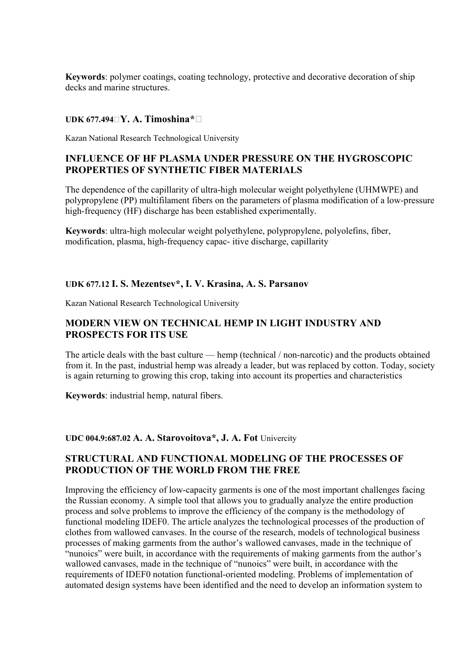**Keywords**: polymer coatings, coating technology, protective and decorative decoration of ship decks and marine structures.

### **UDK 677.494 Y. A. Timoshina\***

Kazan National Research Technological University

### **INFLUENCE OF HF PLASMA UNDER PRESSURE ON THE HYGROSCOPIC PROPERTIES OF SYNTHETIC FIBER MATERIALS**

The dependence of the capillarity of ultra-high molecular weight polyethylene (UHMWPE) and polypropylene (PP) multifilament fibers on the parameters of plasma modification of a low-pressure high-frequency (HF) discharge has been established experimentally.

**Keywords**: ultra-high molecular weight polyethylene, polypropylene, polyolefins, fiber, modification, plasma, high-frequency capac- itive discharge, capillarity

### **UDK 677.12 I. S. Mezentsev\*, I. V. Krasina, A. S. Parsanov**

Kazan National Research Technological University

### **MODERN VIEW ON TECHNICAL HEMP IN LIGHT INDUSTRY AND PROSPECTS FOR ITS USE**

The article deals with the bast culture — hemp (technical / non-narcotic) and the products obtained from it. In the past, industrial hemp was already a leader, but was replaced by cotton. Today, society is again returning to growing this crop, taking into account its properties and characteristics

**Keywords**: industrial hemp, natural fibers.

#### **UDC 004.9:687.02 A. A. Starovoitova\*, J. A. Fot** Univercity

### **STRUCTURAL AND FUNCTIONAL MODELING OF THE PROCESSES OF PRODUCTION OF THE WORLD FROM THE FREE**

Improving the efficiency of low-capacity garments is one of the most important challenges facing the Russian economy. A simple tool that allows you to gradually analyze the entire production process and solve problems to improve the efficiency of the company is the methodology of functional modeling IDEF0. The article analyzes the technological processes of the production of clothes from wallowed canvases. In the course of the research, models of technological business processes of making garments from the author's wallowed canvases, made in the technique of "nunoics" were built, in accordance with the requirements of making garments from the author's wallowed canvases, made in the technique of "nunoics" were built, in accordance with the requirements of IDEF0 notation functional-oriented modeling. Problems of implementation of automated design systems have been identified and the need to develop an information system to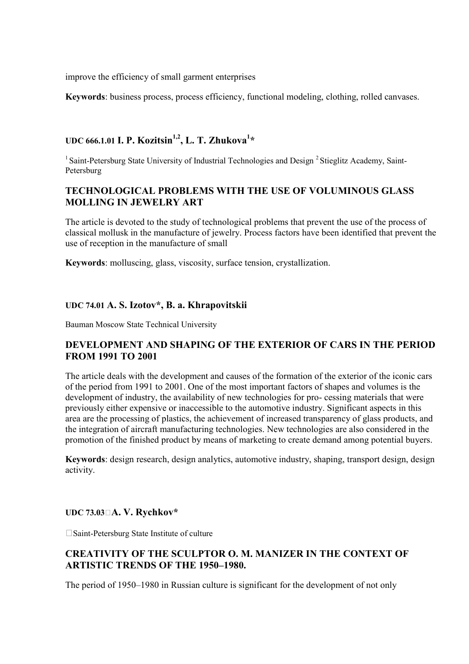improve the efficiency of small garment enterprises

**Keywords**: business process, process efficiency, functional modeling, clothing, rolled canvases.

# **UDC 666.1.01 I. P. Kozitsin1,2, L. T. Zhukova<sup>1</sup> \***

<sup>1</sup> Saint-Petersburg State University of Industrial Technologies and Design  $^{2}$  Stieglitz Academy, Saint-Petersburg

### **TECHNOLOGICAL PROBLEMS WITH THE USE OF VOLUMINOUS GLASS MOLLING IN JEWELRY ART**

The article is devoted to the study of technological problems that prevent the use of the process of classical mollusk in the manufacture of jewelry. Process factors have been identified that prevent the use of reception in the manufacture of small

**Keywords**: molluscing, glass, viscosity, surface tension, crystallization.

### **UDC 74.01 A. S. Izotov\*, В. а. Khrapovitskii**

Bauman Moscow State Technical University

### **DEVELOPMENT AND SHAPING OF THE EXTERIOR OF CARS IN THE PERIOD FROM 1991 TO 2001**

The article deals with the development and causes of the formation of the exterior of the iconic cars of the period from 1991 to 2001. One of the most important factors of shapes and volumes is the development of industry, the availability of new technologies for pro- cessing materials that were previously either expensive or inaccessible to the automotive industry. Significant aspects in this area are the processing of plastics, the achievement of increased transparency of glass products, and the integration of aircraft manufacturing technologies. New technologies are also considered in the promotion of the finished product by means of marketing to create demand among potential buyers.

**Keywords**: design research, design analytics, automotive industry, shaping, transport design, design activity.

### **UDC 73.03□A. V. Rychkov\***

Saint-Petersburg State Institute of culture

### **CREATIVITY OF THE SCULPTOR O. M. MANIZER IN THE CONTEXT OF ARTISTIC TRENDS OF THE 1950–1980.**

The period of 1950–1980 in Russian culture is significant for the development of not only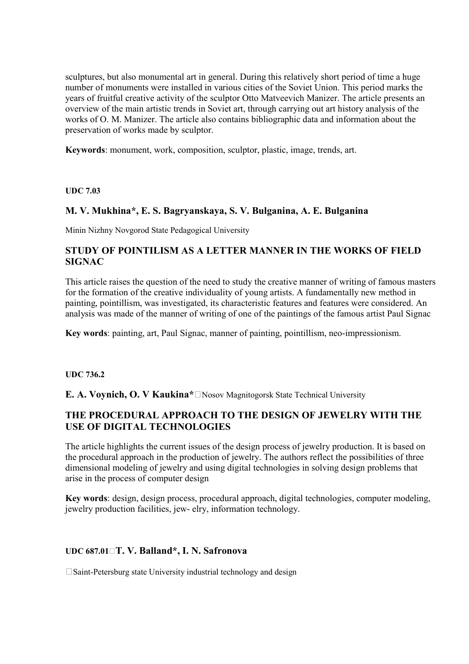sculptures, but also monumental art in general. During this relatively short period of time a huge number of monuments were installed in various cities of the Soviet Union. This period marks the years of fruitful creative activity of the sculptor Otto Matveevich Manizer. The article presents an overview of the main artistic trends in Soviet art, through carrying out art history analysis of the works of O. M. Manizer. The article also contains bibliographic data and information about the preservation of works made by sculptor.

**Keywords**: monument, work, composition, sculptor, plastic, image, trends, art.

**UDC 7.03** 

# **M. V. Mukhina\*, E. S. Bagryanskaya, S. V. Bulganina, A. E. Bulganina**

Minin Nizhny Novgorod State Pedagogical University

# **STUDY OF POINTILISM AS A LETTER MANNER IN THE WORKS OF FIELD SIGNAC**

This article raises the question of the need to study the creative manner of writing of famous masters for the formation of the creative individuality of young artists. A fundamentally new method in painting, pointillism, was investigated, its characteristic features and features were considered. An analysis was made of the manner of writing of one of the paintings of the famous artist Paul Signac

**Key words**: painting, art, Paul Signac, manner of painting, pointillism, neo-impressionism.

### **UDC 736.2**

**E. A. Voynich, O. V Kaukina<sup>\*</sup>**□Nosov Magnitogorsk State Technical University

# **THE PROCEDURAL APPROACH TO THE DESIGN OF JEWELRY WITH THE USE OF DIGITAL TECHNOLOGIES**

The article highlights the current issues of the design process of jewelry production. It is based on the procedural approach in the production of jewelry. The authors reflect the possibilities of three dimensional modeling of jewelry and using digital technologies in solving design problems that arise in the process of computer design

**Key words**: design, design process, procedural approach, digital technologies, computer modeling, jewelry production facilities, jew- elry, information technology.

### **UDC 687.01 T. V. Balland\*, I. N. Safronova**

□ Saint-Petersburg state University industrial technology and design